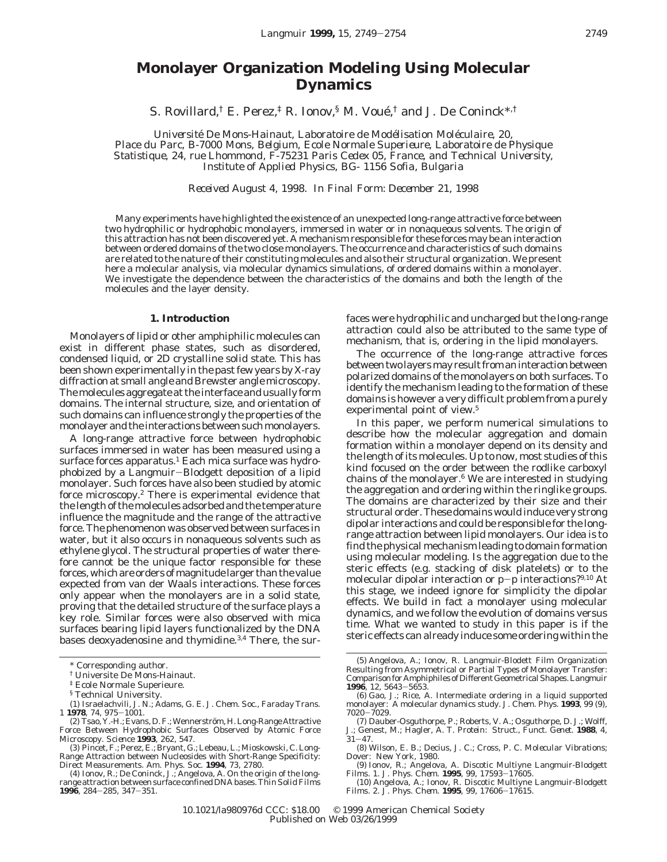# **Monolayer Organization Modeling Using Molecular Dynamics**

S. Rovillard,<sup>†</sup> E. Perez,<sup>‡</sup> R. Ionov,<sup>§</sup> M. Voué,<sup>†</sup> and J. De Coninck<sup>\*,†</sup>

*Universite*´ *De Mons-Hainaut, Laboratoire de Mode*´*lisation Mole*´*culaire, 20, Place du Parc, B-7000 Mons, Belgium, Ecole Normale Superieure, Laboratoire de Physique Statistique, 24, rue Lhommond, F-75231 Paris Cedex 05, France, and Technical University, Institute of Applied Physics, BG- 1156 Sofia, Bulgaria*

*Received August 4, 1998. In Final Form: December 21, 1998*

Many experiments have highlighted the existence of an unexpected long-range attractive force between two hydrophilic or hydrophobic monolayers, immersed in water or in nonaqueous solvents. The origin of this attraction has not been discovered yet. A mechanism responsible for these forces may be an interaction between ordered domains of the two close monolayers. The occurrence and characteristics of such domains are related to the nature of their constituting molecules and also their structural organization. We present here a molecular analysis, via molecular dynamics simulations, of ordered domains within a monolayer. We investigate the dependence between the characteristics of the domains and both the length of the molecules and the layer density.

### **1. Introduction**

Monolayers of lipid or other amphiphilic molecules can exist in different phase states, such as disordered, condensed liquid, or 2D crystalline solid state. This has been shown experimentally in the past few years by X-ray diffraction at small angle and Brewster angle microscopy. The molecules aggregate at the interface and usually form domains. The internal structure, size, and orientation of such domains can influence strongly the properties of the monolayer and the interactions between such monolayers.

A long-range attractive force between hydrophobic surfaces immersed in water has been measured using a surface forces apparatus.<sup>1</sup> Each mica surface was hydrophobized by a Langmuir-Blodgett deposition of a lipid monolayer. Such forces have also been studied by atomic force microscopy.2 There is experimental evidence that the length of the molecules adsorbed and the temperature influence the magnitude and the range of the attractive force. The phenomenon was observed between surfaces in water, but it also occurs in nonaqueous solvents such as ethylene glycol. The structural properties of water therefore cannot be the unique factor responsible for these forces, which are orders of magnitude larger than the value expected from van der Waals interactions. These forces only appear when the monolayers are in a solid state, proving that the detailed structure of the surface plays a key role. Similar forces were also observed with mica surfaces bearing lipid layers functionalized by the DNA bases deoxyadenosine and thymidine.<sup>3,4</sup> There, the surfaces were hydrophilic and uncharged but the long-range attraction could also be attributed to the same type of mechanism, that is, ordering in the lipid monolayers.

The occurrence of the long-range attractive forces between two layers may result from an interaction between polarized domains of the monolayers on both surfaces. To identify the mechanism leading to the formation of these domains is however a very difficult problem from a purely experimental point of view.<sup>5</sup>

In this paper, we perform numerical simulations to describe how the molecular aggregation and domain formation within a monolayer depend on its density and the length of its molecules. Up to now, most studies of this kind focused on the order between the rodlike carboxyl chains of the monolayer. $6$  We are interested in studying the aggregation and ordering within the ringlike groups. The domains are characterized by their size and their structural order. These domains would induce very strong dipolar interactions and could be responsible for the longrange attraction between lipid monolayers. Our idea is to find the physical mechanism leading to domain formation using molecular modeling. Is the aggregation due to the steric effects (e.g. stacking of disk platelets) or to the molecular dipolar interaction or p-p interactions?9,10 At this stage, we indeed ignore for simplicity the dipolar effects. We build in fact a monolayer using molecular dynamics, and we follow the evolution of domains versus time. What we wanted to study in this paper is if the steric effects can already induce some ordering within the

<sup>\*</sup> Corresponding author.

<sup>†</sup> Universite De Mons-Hainaut.

<sup>‡</sup> Ecole Normale Superieure.

<sup>§</sup> Technical University.

<sup>(1)</sup> Israelachvili, J. N.; Adams, G. E. *J. Chem. Soc., Faraday Trans.*

<sup>1</sup> **1978**, *74*, 975–1001.<br>(2) Tsao, Y.-H.; Evans, D. F.; Wennerström, H. Long-Range Attractive<br>Force Between Hydrophobic Surfaces Observed by Atomic Force<br>Microscopy. *Science* **1993**, 262, 547.

<sup>(3)</sup> Pincet, F.; Perez, E.; Bryant, G.; Lebeau, L.; Mioskowski, C. Long-Range Attraction between Nucleosides with Short-Range Specificity:

Direct Measurements. *Am. Phys. Soc.* **1994**, *73*, 2780. (4) Ionov, R.; De Coninck, J.; Angelova, A. On the origin of the longrange attraction between surface confined DNA bases.*Thin Solid Films* **<sup>1996</sup>**, *<sup>284</sup>*-*285*, 347-351.

<sup>(5)</sup> Angelova, A.; Ionov, R. Langmuir-Blodett Film Organization Resulting from Asymmetrical or Partial Types of Monolayer Transfer: Comparison for Amphiphiles of Different Geometrical Shapes.*Langmuir*

**<sup>1996</sup>**, *<sup>12</sup>*, 5643-5653. (6) Gao, J.; Rice, A. Intermediate ordering in a liquid supported monolayer: A molecular dynamics study. *J. Chem. Phys.* **1993**, *99* (9),

<sup>7020</sup>-7029. (7) Dauber-Osguthorpe, P.; Roberts, V. A.; Osguthorpe, D. J.; Wolff, J.; Genest, M.; Hagler, A. T. *Protein: Struct., Funct. Genet.* **1988**, *4*,

<sup>31</sup>-47. (8) Wilson, E. B.; Decius, J. C.; Cross, P. C. *Molecular Vibrations*; Dover: New York, 1980.

<sup>(9)</sup> Ionov, R.; Angelova, A. Discotic Multiyne Langmuir-Blodgett Films. 1. *J. Phys. Chem.* **<sup>1995</sup>**, *<sup>99</sup>*, 17593-17605.

<sup>(10)</sup> Angelova, A.; Ionov, R. Discotic Multiyne Langmuir-Blodgett Films. 2. *J. Phys. Chem.* **<sup>1995</sup>**, *<sup>99</sup>*, 17606-17615.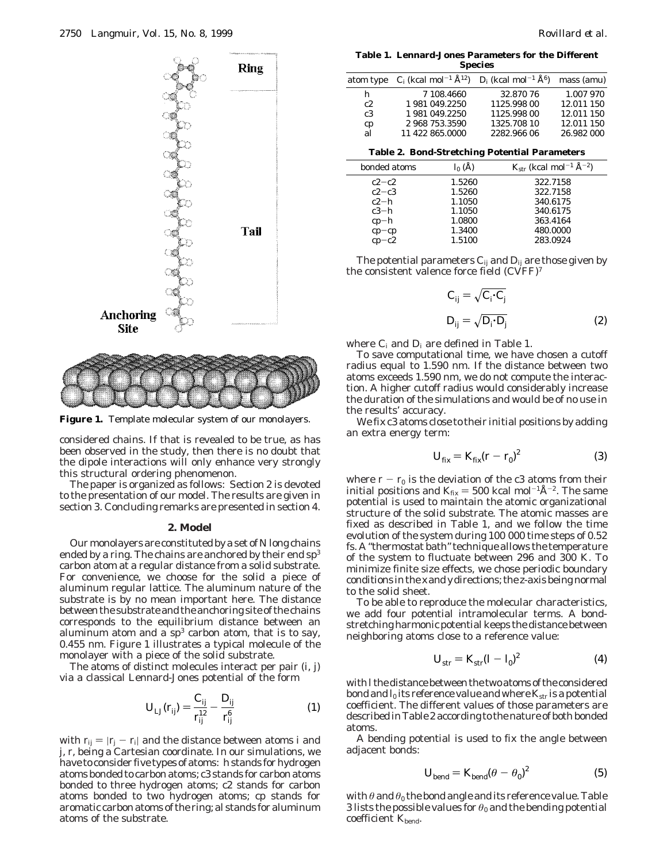

**Figure 1.** Template molecular system of our monolayers.

considered chains. If that is revealed to be true, as has been observed in the study, then there is no doubt that the dipole interactions will only enhance very strongly this structural ordering phenomenon.

The paper is organized as follows: Section 2 is devoted to the presentation of our model. The results are given in section 3. Concluding remarks are presented in section 4.

#### **2. Model**

Our monolayers are constituted by a set of *N* long chains ended by a ring. The chains are anchored by their end sp<sup>3</sup> carbon atom at a regular distance from a solid substrate. For convenience, we choose for the solid a piece of aluminum regular lattice. The aluminum nature of the substrate is by no mean important here. The distance between the substrate and the anchoring site of the chains corresponds to the equilibrium distance between an aluminum atom and a  $sp<sup>3</sup>$  carbon atom, that is to say, 0.455 nm. Figure 1 illustrates a typical molecule of the monolayer with a piece of the solid substrate.

The atoms of distinct molecules interact per pair (*i*, *j*) via a classical Lennard-Jones potential of the form

$$
U_{\text{LJ}}(r_{ij}) = \frac{C_{ij}}{r_{ij}^{12}} - \frac{D_{ij}}{r_{ij}^6} \tag{1}
$$

with  $r_{ij} = |r_j - r_i|$  and the distance between atoms *i* and *j*, *r*, being a Cartesian coordinate. In our simulations, we have to consider five types of atoms: h stands for hydrogen atoms bonded to carbon atoms; c3 stands for carbon atoms bonded to three hydrogen atoms; c2 stands for carbon atoms bonded to two hydrogen atoms; cp stands for aromatic carbon atoms of the ring; al stands for aluminum atoms of the substrate.

**Table 1. Lennard-Jones Parameters for the Different Species**

| atom type | $C_i$ (kcal mol <sup>-1</sup> Å <sup>12</sup> ) | $D_i$ (kcal mol <sup>-1</sup> Å <sup>6</sup> ) | mass (amu) |
|-----------|-------------------------------------------------|------------------------------------------------|------------|
| h         | 7 108.4660                                      | 32.870 76                                      | 1.007 970  |
| c2        | 1981049.2250                                    | 1125.998 00                                    | 12.011 150 |
| c3        | 1981049.2250                                    | 1125.998 00                                    | 12.011 150 |
| cp        | 2968753.3590                                    | 1325.708 10                                    | 12.011 150 |
| al        | 11 422 865,0000                                 | 2282.966 06                                    | 26.982 000 |
|           |                                                 |                                                |            |

| bonded atoms | $I_0(\AA)$ | $K_{str}$ (kcal mol <sup>-1</sup> Å <sup>-2</sup> ) |
|--------------|------------|-----------------------------------------------------|
| $c2 - c2$    | 1.5260     | 322.7158                                            |
| $c2 - c3$    | 1.5260     | 322.7158                                            |
| $c2-h$       | 1.1050     | 340.6175                                            |
| $c3-h$       | 1.1050     | 340.6175                                            |
| $cp-h$       | 1.0800     | 363.4164                                            |
| $cp$ - $cp$  | 1.3400     | 480.0000                                            |
| $cp-c2$      | 1.5100     | 283.0924                                            |
|              |            |                                                     |

The potential parameters  $C_{ii}$  and  $D_{ii}$  are those given by the consistent valence force field (CVFF)7

$$
C_{ij} = \sqrt{C_i C_j}
$$
  

$$
D_{ij} = \sqrt{D_i D_j}
$$
 (2)

where *Ci* and *Di* are defined in Table 1.

To save computational time, we have chosen a cutoff radius equal to 1.590 nm. If the distance between two atoms exceeds 1.590 nm, we do not compute the interaction. A higher cutoff radius would considerably increase the duration of the simulations and would be of no use in the results' accuracy.

We fix c3 atoms close to their initial positions by adding an extra energy term:

$$
U_{\text{fix}} = K_{\text{fix}} (r - r_0)^2
$$
 (3)

where  $r - r_0$  is the deviation of the c3 atoms from their initial positions and  $K_{fix} = 500$  kcal mol<sup>-1</sup>Å<sup>-2</sup>. The same potential is used to maintain the atomic organizational structure of the solid substrate. The atomic masses are fixed as described in Table 1, and we follow the time evolution of the system during 100 000 time steps of 0.52 fs. A "thermostat bath" technique allows the temperature of the system to fluctuate between 296 and 300 K. To minimize finite size effects, we chose periodic boundary conditions in the *x* and *y* directions; the *z*-axis being normal to the solid sheet.

To be able to reproduce the molecular characteristics, we add four potential intramolecular terms. A bondstretching harmonic potential keeps the distance between neighboring atoms close to a reference value:

$$
U_{\rm str} = K_{\rm str} (I - I_0)^2 \tag{4}
$$

with*l*the distance between the two atoms of the considered bond and  $I_0$  its reference value and where  $K_{str}$  is a potential coefficient. The different values of those parameters are described in Table 2 according to the nature of both bonded atoms.

A bending potential is used to fix the angle between adjacent bonds:

$$
U_{\text{bend}} = K_{\text{bend}} (\theta - \theta_0)^2
$$
 (5)

with *θ* and *θ*<sub>0</sub> the bond angle and its reference value. Table 3 lists the possible values for  $\theta_0$  and the bending potential coefficient *K*bend.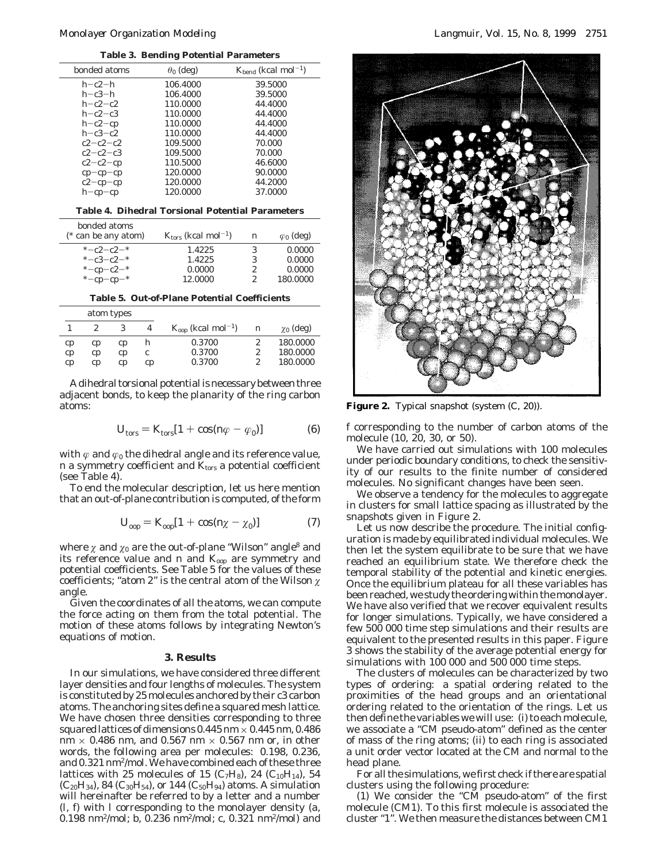|  |  |  | <b>Table 3. Bending Potential Parameters</b> |
|--|--|--|----------------------------------------------|
|--|--|--|----------------------------------------------|

| bonded atoms                                            | $\theta_0$ (deg)                            | $K_{\text{bend}}$ (kcal mol <sup>-1</sup> ) |  |  |
|---------------------------------------------------------|---------------------------------------------|---------------------------------------------|--|--|
| $h-c2-h$                                                | 106.4000                                    | 39.5000                                     |  |  |
| $h$ – $c$ 3– $h$                                        | 106.4000                                    | 39.5000                                     |  |  |
| $h = c2 - c2$                                           | 110.0000                                    | 44.4000                                     |  |  |
| $h = c2 - c3$                                           | 110.0000                                    | 44.4000                                     |  |  |
| $h-c2$ -cp                                              | 110.0000                                    | 44.4000                                     |  |  |
| $h = c3 - c2$                                           | 110.0000                                    | 44.4000                                     |  |  |
| $c2-c2-c2$                                              | 109.5000                                    | 70.000                                      |  |  |
| $c2-c2-c3$                                              | 109.5000                                    | 70.000                                      |  |  |
| $c2-c2$ -cp                                             | 110.5000                                    | 46.6000                                     |  |  |
| $cp$ - $cp$ - $cp$                                      | 120.0000                                    | 90.0000                                     |  |  |
| $c2$ -cp-cp                                             | 120.0000                                    | 44.2000                                     |  |  |
| $h$ -cp-cp                                              | 120.0000                                    | 37.0000                                     |  |  |
| <b>Table 4. Dihedral Torsional Potential Parameters</b> |                                             |                                             |  |  |
| bonded atoms                                            |                                             |                                             |  |  |
| (* can be any atom)                                     | $K_{\text{tors}}$ (kcal mol <sup>-1</sup> ) | $\varphi_0$ (deg)<br>$\boldsymbol{n}$       |  |  |

| $\frac{1}{2}$   | $11013$ $(11041)$ | . | $\mathcal{L}$ $\mathcal{L}$ $\mathcal{L}$ $\mathcal{L}$ $\mathcal{L}$ $\mathcal{L}$ |
|-----------------|-------------------|---|-------------------------------------------------------------------------------------|
| * $-c2-c2-$ *   | 1.4225            | 3 | 0.0000                                                                              |
| * $-c3-c2-$ *   | 1.4225            | 3 | 0.0000                                                                              |
| *-cp-c2-*       | 0.0000            | 2 | 0.0000                                                                              |
| $*$ -cp-cp- $*$ | 12.0000           | 2 | 180.0000                                                                            |
|                 |                   |   |                                                                                     |

**Table 5. Out-of-Plane Potential Coefficients**

| atom types |    |                        |                        |                                            |                  |                |
|------------|----|------------------------|------------------------|--------------------------------------------|------------------|----------------|
|            |    |                        | 4                      | $K_{\text{oop}}$ (kcal mol <sup>-1</sup> ) | $\boldsymbol{n}$ | $\chi_0$ (deg) |
| cp         | cp | $\mathbf{c}\mathbf{p}$ | h                      | 0.3700                                     |                  | 180.0000       |
| cp         | cp | cp                     | с                      | 0.3700                                     | 2                | 180.0000       |
| cp         | cp | $\mathbf{c}\mathbf{p}$ | $\mathbf{c}\mathbf{p}$ | 0.3700                                     | 2                | 180.0000       |

A dihedral torsional potential is necessary between three adjacent bonds, to keep the planarity of the ring carbon atoms:

$$
U_{\text{tors}} = K_{\text{tors}}[1 + \cos(n\varphi - \varphi_0)] \tag{6}
$$

with  $\varphi$  and  $\varphi_0$  the dihedral angle and its reference value,  $n$  a symmetry coefficient and  $K_{\text{tors}}$  a potential coefficient (see Table 4).

To end the molecular description, let us here mention that an out-of-plane contribution is computed, of the form

$$
U_{\text{oop}} = K_{\text{oop}}[1 + \cos(n\chi - \chi_0)] \tag{7}
$$

where  $\chi$  and  $\chi_0$  are the out-of-plane "Wilson" angle<sup>8</sup> and its reference value and *n* and *K*oop are symmetry and potential coefficients. See Table 5 for the values of these coefficients; "atom 2" is the central atom of the Wilson *ø* angle.

Given the coordinates of all the atoms, we can compute the force acting on them from the total potential. The motion of these atoms follows by integrating Newton's equations of motion.

## **3. Results**

In our simulations, we have considered three different layer densities and four lengths of molecules. The system is constituted by 25 molecules anchored by their c3 carbon atoms. The anchoring sites define a squared mesh lattice. We have chosen three densities corresponding to three squared lattices of dimensions  $0.445$  nm  $\times$   $0.445$  nm,  $0.486$ nm  $\times$  0.486 nm, and 0.567 nm  $\times$  0.567 nm or, in other words, the following area per molecules: 0.198, 0.236, and 0.321 nm2/mol. We have combined each of these three lattices with 25 molecules of 15 (C<sub>7</sub>H<sub>8</sub>), 24 (C<sub>10</sub>H<sub>14</sub>), 54  $(C_{20}H_{34})$ , 84  $(C_{30}H_{54})$ , or 144  $(C_{50}H_{94})$  atoms. A simulation will hereinafter be referred to by a letter and a number (*l*, *f*) with *l* corresponding to the monolayer density (a, 0.198 nm2/mol; b, 0.236 nm2/mol; c, 0.321 nm2/mol) and



Figure 2. Typical snapshot (system  $(C, 20)$ ).

*f* corresponding to the number of carbon atoms of the molecule (10, 20, 30, or 50).

We have carried out simulations with 100 molecules under periodic boundary conditions, to check the sensitivity of our results to the finite number of considered molecules. No significant changes have been seen.

We observe a tendency for the molecules to aggregate in clusters for small lattice spacing as illustrated by the snapshots given in Figure 2.

Let us now describe the procedure. The initial configuration is made by equilibrated individual molecules. We then let the system equilibrate to be sure that we have reached an equilibrium state. We therefore check the temporal stability of the potential and kinetic energies. Once the equilibrium plateau for all these variables has been reached, we study the ordering within the monolayer. We have also verified that we recover equivalent results for longer simulations. Typically, we have considered a few 500 000 time step simulations and their results are equivalent to the presented results in this paper. Figure 3 shows the stability of the average potential energy for simulations with  $100000$  and  $50000$  time steps.

The clusters of molecules can be characterized by two types of ordering: a spatial ordering related to the proximities of the head groups and an orientational ordering related to the orientation of the rings. Let us then define the variables we will use: (i) to each molecule, we associate a "CM pseudo-atom" defined as the center of mass of the ring atoms; (ii) to each ring is associated a unit order vector located at the CM and normal to the head plane.

For all the simulations, we first check if there are spatial clusters using the following procedure:

(1) We consider the "CM pseudo-atom" of the first molecule (CM1). To this first molecule is associated the cluster "1". We then measure the distances between CM1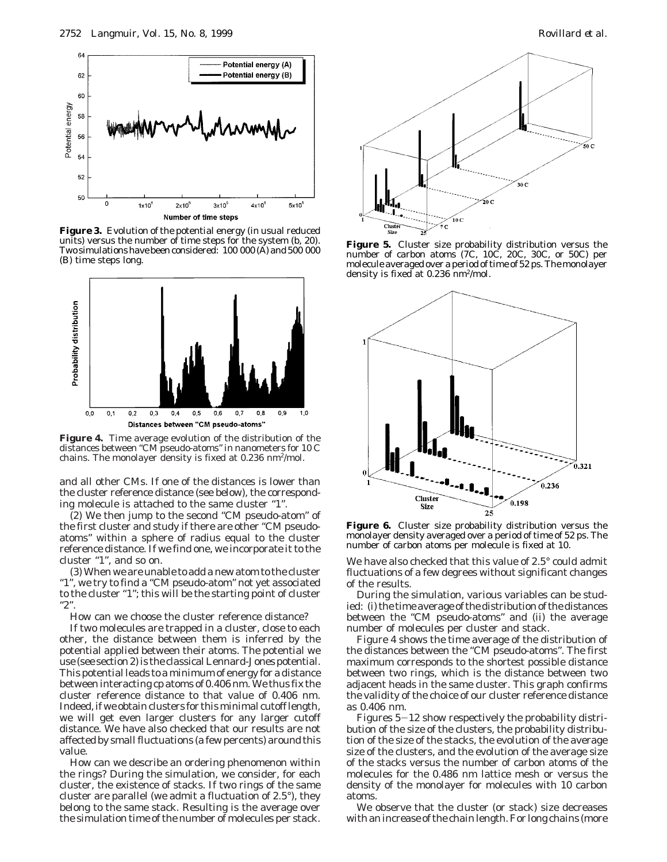

**Figure 3.** Evolution of the potential energy (in usual reduced units) versus the number of time steps for the system (b, 20). Two simulations have been considered: 100 000 (A) and 500 000 (B) time steps long.



**Figure 4.** Time average evolution of the distribution of the distances between "CM pseudo-atoms" in nanometers for 10 C chains. The monolayer density is fixed at 0.236 nm2/mol.

and all other CMs. If one of the distances is lower than the cluster reference distance (see below), the corresponding molecule is attached to the same cluster "1".

(2) We then jump to the second "CM pseudo-atom" of the first cluster and study if there are other "CM pseudoatoms" within a sphere of radius equal to the cluster reference distance. If we find one, we incorporate it to the cluster "1", and so on.

(3) When we are unable to add a new atom to the cluster "1", we try to find a "CM pseudo-atom" not yet associated to the cluster "1"; this will be the starting point of cluster "2".

How can we choose the cluster reference distance?

If two molecules are trapped in a cluster, close to each other, the distance between them is inferred by the potential applied between their atoms. The potential we use (see section 2) is the classical Lennard-Jones potential. This potential leads to a minimum of energy for a distance between interacting cp atoms of 0.406 nm. We thus fix the cluster reference distance to that value of 0.406 nm. Indeed, if we obtain clusters for this minimal cutoff length, we will get even larger clusters for any larger cutoff distance. We have also checked that our results are not affected by small fluctuations (a few percents) around this value.

How can we describe an ordering phenomenon within the rings? During the simulation, we consider, for each cluster, the existence of stacks. If two rings of the same cluster are parallel (we admit a fluctuation of 2.5°), they belong to the same stack. Resulting is the average over the simulation time of the number of molecules per stack.



**Figure 5.** Cluster size probability distribution versus the number of carbon atoms (7C, 10C, 20C, 30C, or 50C) per molecule averaged over a period of time of 52 ps. The monolayer density is fixed at 0.236 nm2/mol.



**Figure 6.** Cluster size probability distribution versus the monolayer density averaged over a period of time of 52 ps. The number of carbon atoms per molecule is fixed at 10.

We have also checked that this value of 2.5° could admit fluctuations of a few degrees without significant changes of the results.

During the simulation, various variables can be studied: (i) the time average of the distribution of the distances between the "CM pseudo-atoms" and (ii) the average number of molecules per cluster and stack.

Figure 4 shows the time average of the distribution of the distances between the "CM pseudo-atoms". The first maximum corresponds to the shortest possible distance between two rings, which is the distance between two adjacent heads in the same cluster. This graph confirms the validity of the choice of our cluster reference distance as 0.406 nm.

Figures 5-12 show respectively the probability distribution of the size of the clusters, the probability distribution of the size of the stacks, the evolution of the average size of the clusters, and the evolution of the average size of the stacks versus the number of carbon atoms of the molecules for the 0.486 nm lattice mesh or versus the density of the monolayer for molecules with 10 carbon atoms.

We observe that the cluster (or stack) size decreases with an increase of the chain length. For long chains (more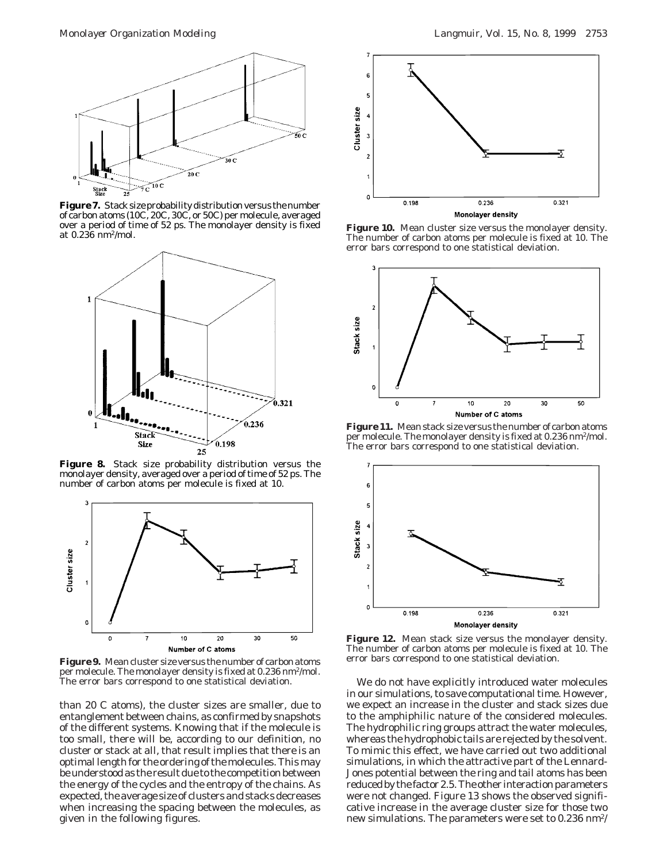

**Figure7.** Stack size probability distribution versus the number of carbon atoms (10C, 20C, 30C, or 50C) per molecule, averaged over a period of time of 52 ps. The monolayer density is fixed at 0.236 nm2/mol.



**Figure 8.** Stack size probability distribution versus the monolayer density, averaged over a period of time of 52 ps. The number of carbon atoms per molecule is fixed at 10.



**Figure 9.** Mean cluster size versus the number of carbon atoms per molecule. The monolayer density is fixed at 0.236 nm<sup>2</sup>/mol. The error bars correspond to one statistical deviation.

than 20 C atoms), the cluster sizes are smaller, due to entanglement between chains, as confirmed by snapshots of the different systems. Knowing that if the molecule is too small, there will be, according to our definition, no cluster or stack at all, that result implies that there is an optimal length for the ordering of the molecules. This may be understood as the result due to the competition between the energy of the cycles and the entropy of the chains. As expected, the average size of clusters and stacks decreases when increasing the spacing between the molecules, as given in the following figures.



**Figure 10.** Mean cluster size versus the monolayer density. The number of carbon atoms per molecule is fixed at 10. The error bars correspond to one statistical deviation.



**Figure 11.** Mean stack size versus the number of carbon atoms per molecule. The monolayer density is fixed at 0.236 nm<sup>2</sup>/mol. The error bars correspond to one statistical deviation.



**Figure 12.** Mean stack size versus the monolayer density. The number of carbon atoms per molecule is fixed at 10. The error bars correspond to one statistical deviation.

We do not have explicitly introduced water molecules in our simulations, to save computational time. However, we expect an increase in the cluster and stack sizes due to the amphiphilic nature of the considered molecules. The hydrophilic ring groups attract the water molecules, whereas the hydrophobic tails are rejected by the solvent. To mimic this effect, we have carried out two additional simulations, in which the attractive part of the Lennard-Jones potential between the ring and tail atoms has been reduced by the factor 2.5. The other interaction parameters were not changed. Figure 13 shows the observed significative increase in the average cluster size for those two new simulations. The parameters were set to 0.236 nm2/